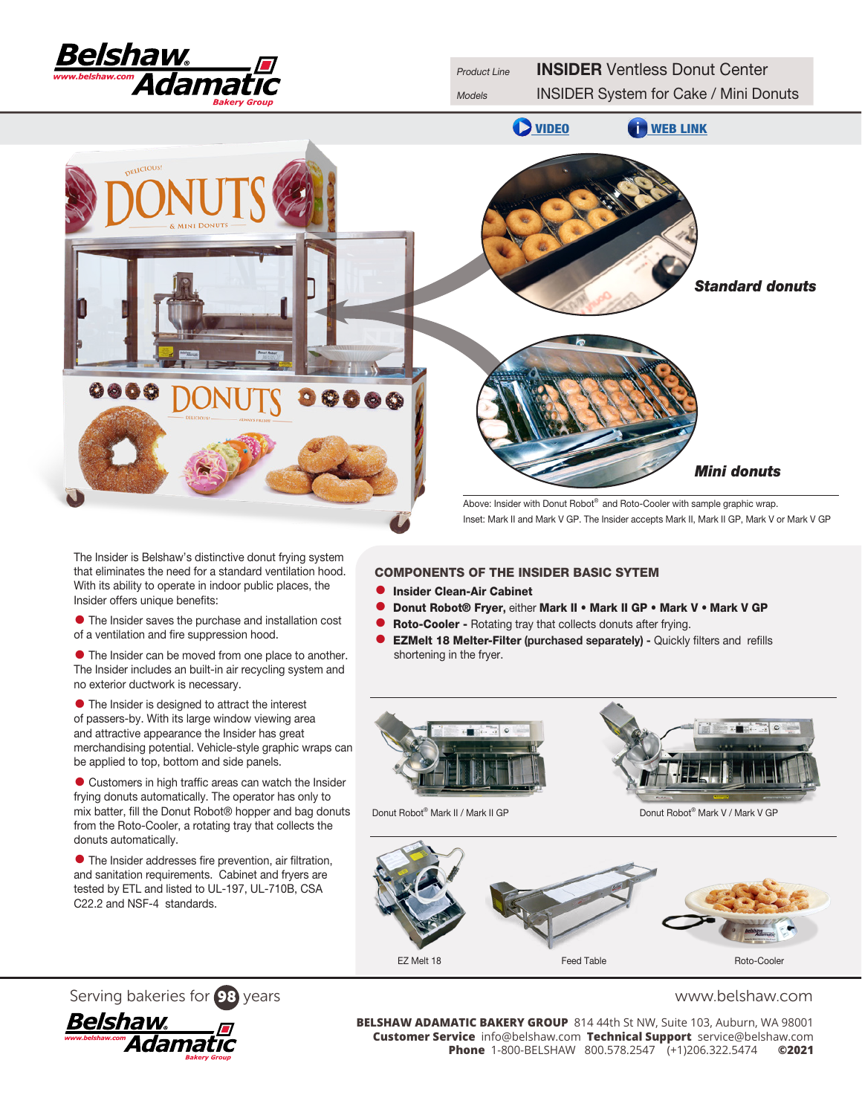



The Insider is Belshaw's distinctive donut frying system that eliminates the need for a standard ventilation hood. With its ability to operate in indoor public places, the Insider offers unique benefits:

• The Insider saves the purchase and installation cost of a ventilation and fire suppression hood.

• The Insider can be moved from one place to another. The Insider includes an built-in air recycling system and no exterior ductwork is necessary.

• The Insider is designed to attract the interest of passers-by. With its large window viewing area and attractive appearance the Insider has great merchandising potential. Vehicle-style graphic wraps can be applied to top, bottom and side panels.

• Customers in high traffic areas can watch the Insider frying donuts automatically. The operator has only to mix batter, fill the [Donut Robot®](http://www.belshaw-adamatic.com/catalog/retail-equipment/donut-machines---donut-robotreg) hopper and bag donuts from the Roto-Cooler, a rotating tray that collects the donuts automatically.

• The Insider addresses fire prevention, air filtration, and sanitation requirements. Cabinet and fryers are tested by ETL and listed to UL-197, UL-710B, CSA C22.2 and NSF-4 standards.

# COMPONENTS OF THE INSIDER BASIC SYTEM

- **Insider Clean-Air Cabinet**<br>• Donut Bobot® Fryer eithe
- Donut Robot® Fryer, either Mark II Mark II GP Mark V Mark V GP<br>● Roto-Cooler Rotating trav that collects donuts after frving.
- Roto-Cooler Rotating tray that collects donuts after frying.<br>• EZMelt 18 Melter-Filter (purchased senarately) Quickly
- **EZMelt 18 Melter-Filter (purchased separately) Quickly filters and refills** shortening in the fryer.



Donut Robot<sup>®</sup> Mark II / Mark II GP Donut Robot® Mark V / Mark V GP





Serving bakeries for 98 years<br>**BELSHAW ADAMATIC BAKERY GROUP** 814 44th St NW, Suite 103, Auburn, WA 98001<br>Customer Service info@belshaw.com Technical Support service@belshaw.com **BELSHAW ADAMATIC BAKERY GROUP** 814 44th St NW, Suite 103, Auburn, WA 98001 **Customer Service** info@belshaw.com **Technical Support** service@belshaw.com **Phone** 1-800-BELSHAW 800.578.2547 (+1)206.322.5474 **©2021**